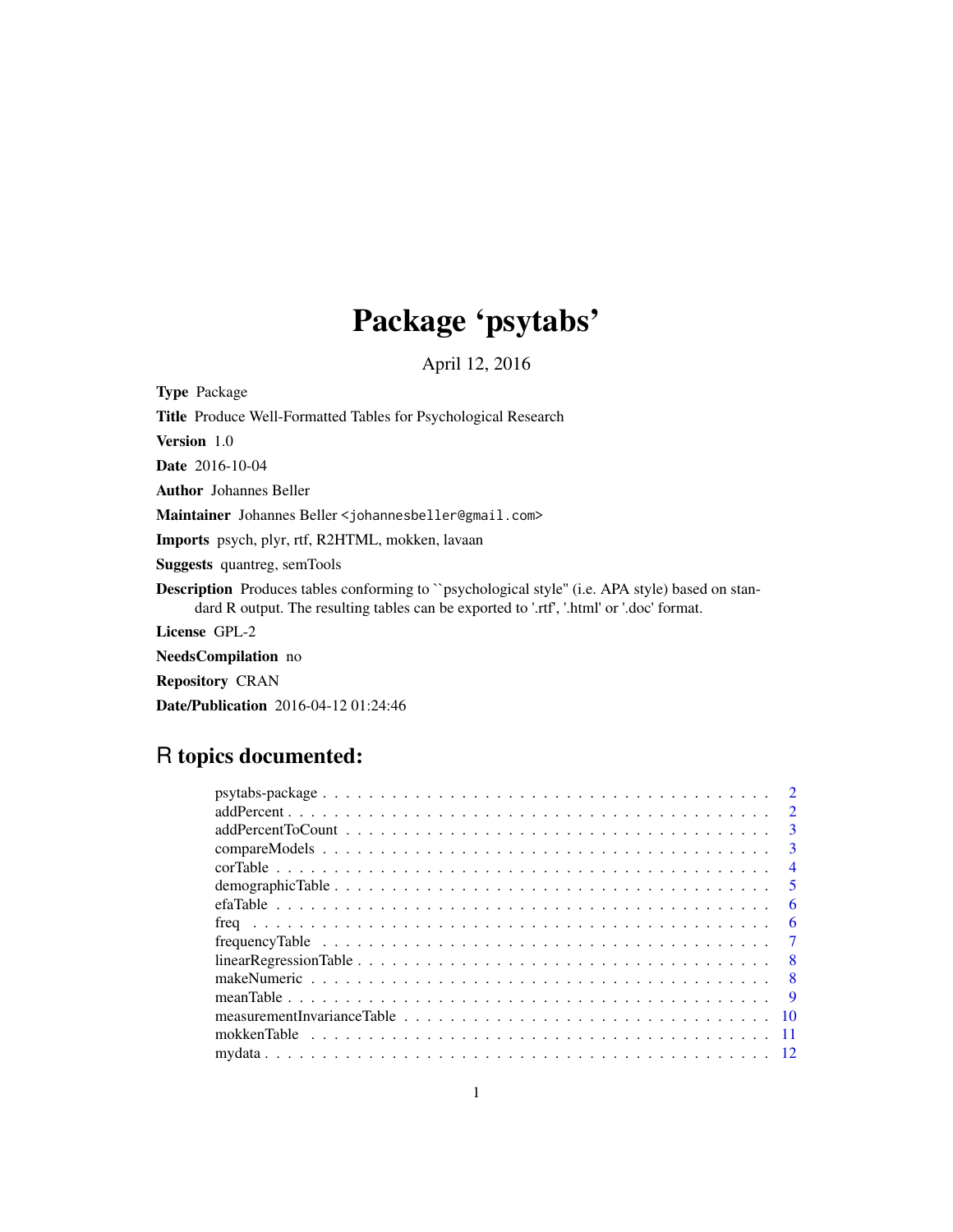# Package 'psytabs'

April 12, 2016

Type Package Title Produce Well-Formatted Tables for Psychological Research Version 1.0 Date 2016-10-04 Author Johannes Beller Maintainer Johannes Beller <johannesbeller@gmail.com> Imports psych, plyr, rtf, R2HTML, mokken, lavaan Suggests quantreg, semTools Description Produces tables conforming to ``psychological style'' (i.e. APA style) based on standard R output. The resulting tables can be exported to '.rtf', '.html' or '.doc' format. License GPL-2 NeedsCompilation no Repository CRAN

Date/Publication 2016-04-12 01:24:46

# R topics documented:

|                                                                                                                           | $\mathcal{L}$  |
|---------------------------------------------------------------------------------------------------------------------------|----------------|
|                                                                                                                           | 3              |
|                                                                                                                           | 3              |
|                                                                                                                           | $\overline{4}$ |
|                                                                                                                           | -5             |
|                                                                                                                           | -6             |
|                                                                                                                           | -6             |
|                                                                                                                           | -7             |
| $linear Regression Table \dots \dots \dots \dots \dots \dots \dots \dots \dots \dots \dots \dots \dots \dots \dots \dots$ |                |
|                                                                                                                           | $\mathbf{R}$   |
|                                                                                                                           | -9             |
|                                                                                                                           | -10            |
|                                                                                                                           | -11            |
|                                                                                                                           |                |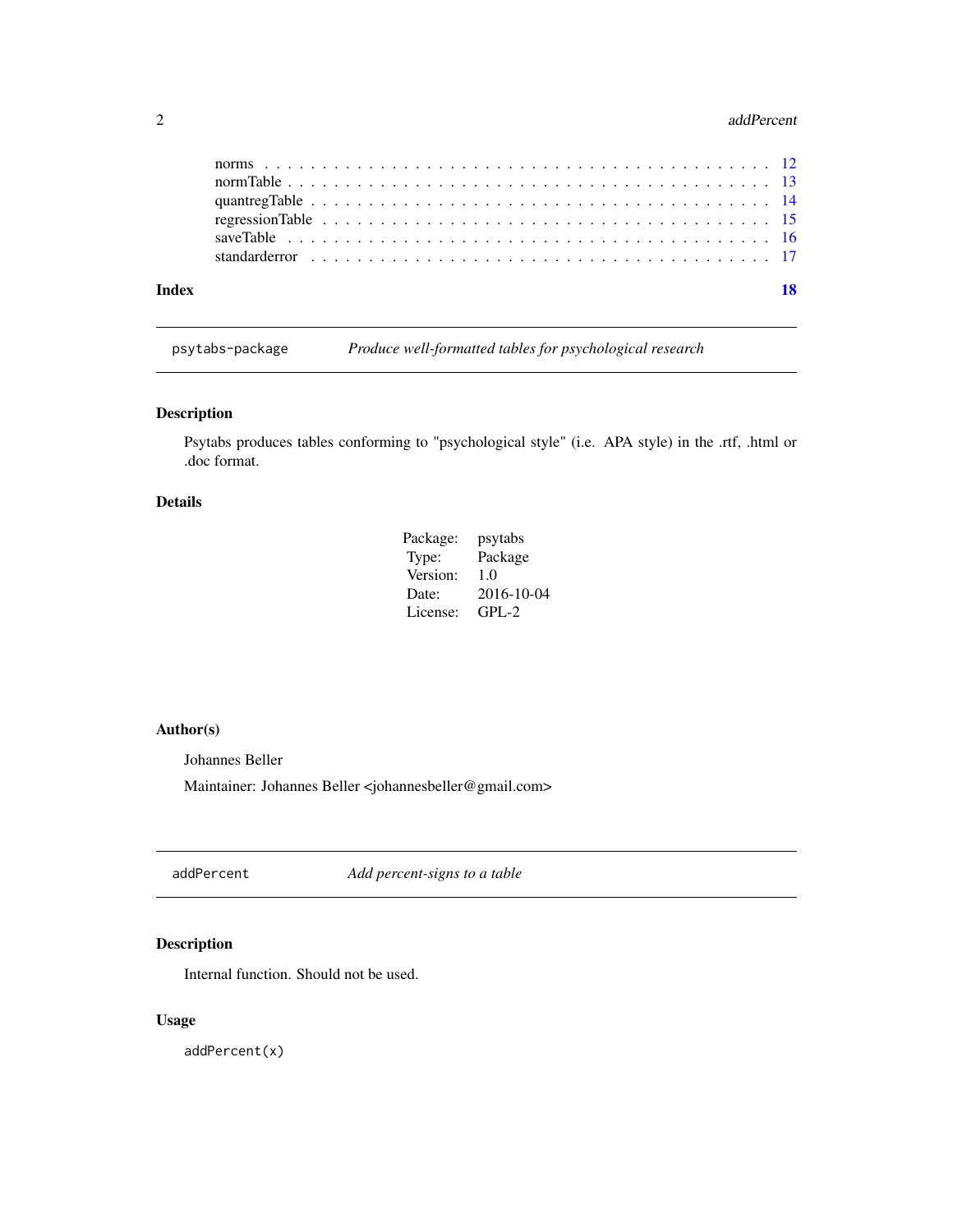#### <span id="page-1-0"></span>2 addPercent and 2 and 2 and 2 and 2 and 2 and 2 and 2 and 2 and 2 and 2 and 2 and 2 and 2 and 2 and 2 and 2 and 2 and 2 and 2 and 2 and 2 and 2 and 2 and 2 and 2 and 2 and 2 and 2 and 2 and 2 and 2 and 2 and 2 and 2 and 2

| Index |  |  |  |  |  |  |  |  |  |  |  |  |  |  |  |  |  | 18 |
|-------|--|--|--|--|--|--|--|--|--|--|--|--|--|--|--|--|--|----|
|       |  |  |  |  |  |  |  |  |  |  |  |  |  |  |  |  |  |    |
|       |  |  |  |  |  |  |  |  |  |  |  |  |  |  |  |  |  |    |
|       |  |  |  |  |  |  |  |  |  |  |  |  |  |  |  |  |  |    |
|       |  |  |  |  |  |  |  |  |  |  |  |  |  |  |  |  |  |    |
|       |  |  |  |  |  |  |  |  |  |  |  |  |  |  |  |  |  |    |
|       |  |  |  |  |  |  |  |  |  |  |  |  |  |  |  |  |  |    |

psytabs-package *Produce well-formatted tables for psychological research*

# Description

Psytabs produces tables conforming to "psychological style" (i.e. APA style) in the .rtf, .html or .doc format.

#### Details

| Package: | psytabs    |
|----------|------------|
| Type:    | Package    |
| Version: | 1.0        |
| Date:    | 2016-10-04 |
| License: | $GPI - 2$  |

#### Author(s)

Johannes Beller

Maintainer: Johannes Beller <johannesbeller@gmail.com>

addPercent *Add percent-signs to a table*

# Description

Internal function. Should not be used.

### Usage

addPercent(x)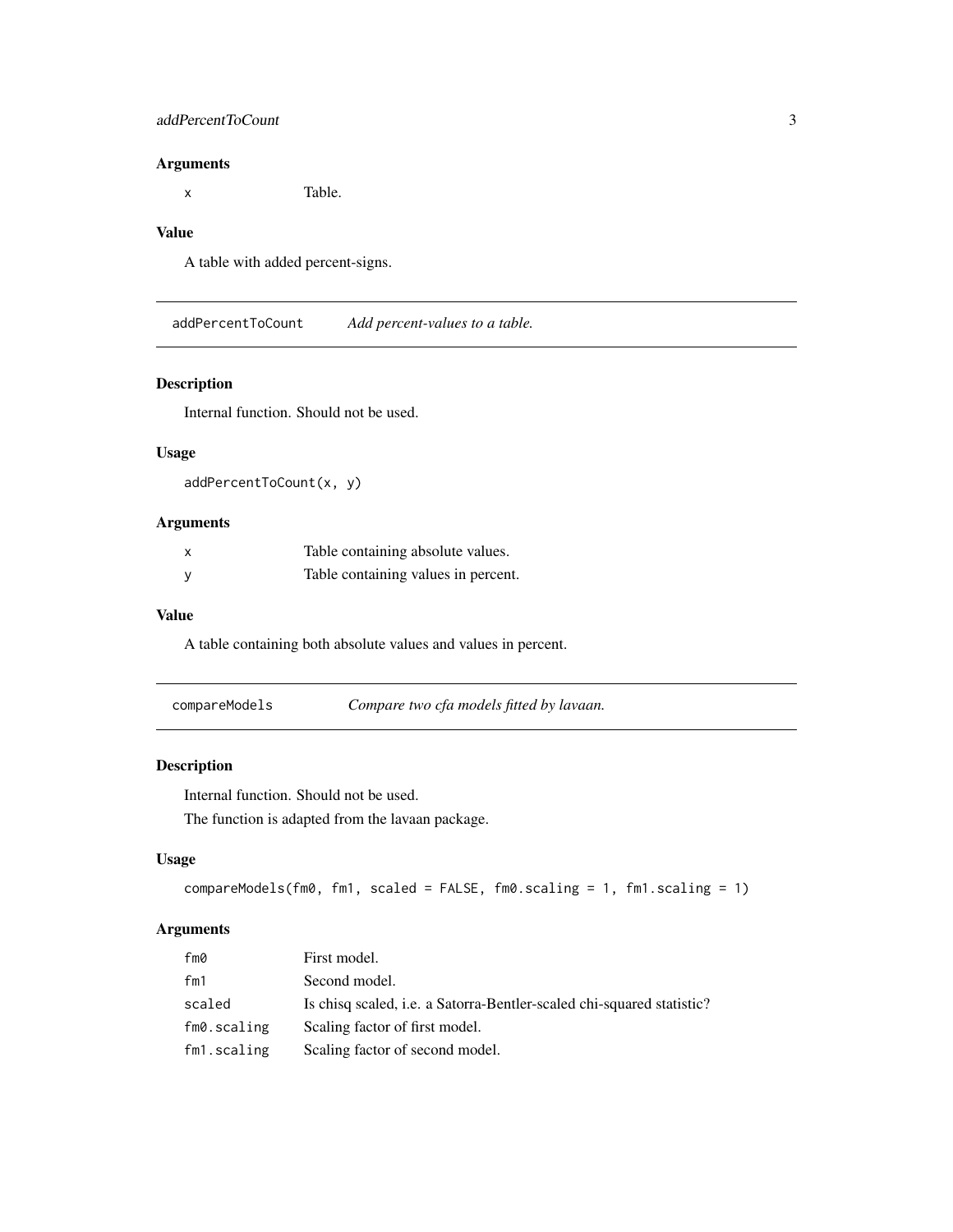#### <span id="page-2-0"></span>addPercentToCount 3

#### Arguments

x Table.

#### Value

A table with added percent-signs.

addPercentToCount *Add percent-values to a table.*

#### Description

Internal function. Should not be used.

#### Usage

addPercentToCount(x, y)

### Arguments

| Table containing absolute values.   |
|-------------------------------------|
| Table containing values in percent. |

#### Value

A table containing both absolute values and values in percent.

| compareModels | Compare two cfa models fitted by lavaan. |  |
|---------------|------------------------------------------|--|
|               |                                          |  |

#### Description

Internal function. Should not be used.

The function is adapted from the lavaan package.

#### Usage

```
compareModels(fm0, fm1, scaled = FALSE, fm0.scaling = 1, fm1.scaling = 1)
```
#### Arguments

| fm0         | First model.                                                                 |
|-------------|------------------------------------------------------------------------------|
| fm1         | Second model.                                                                |
| scaled      | Is chisq scaled, <i>i.e.</i> a Satorra-Bentler-scaled chi-squared statistic? |
| fm0.scaling | Scaling factor of first model.                                               |
| fm1.scaling | Scaling factor of second model.                                              |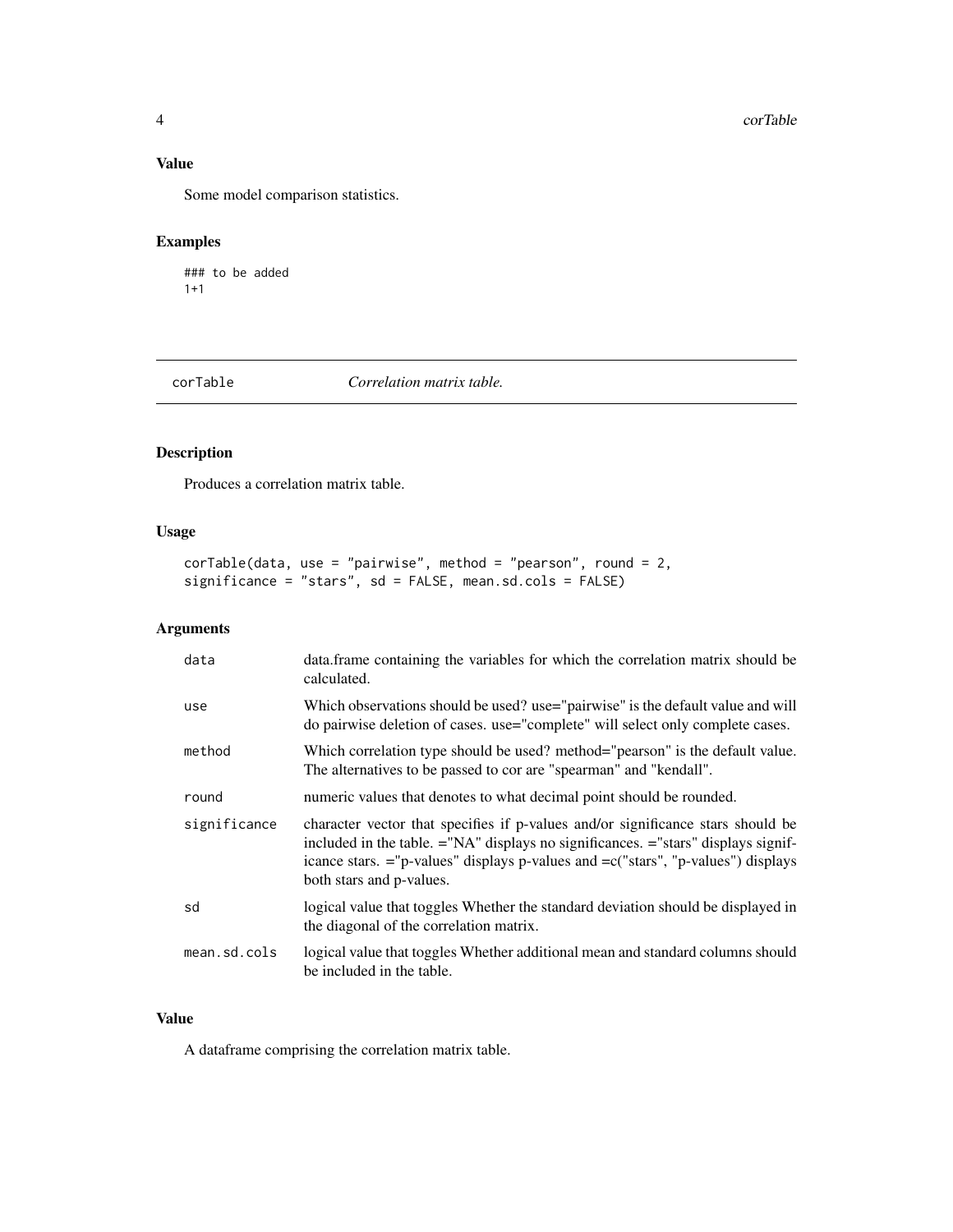#### Value

Some model comparison statistics.

#### Examples

### to be added 1+1

corTable *Correlation matrix table.*

# Description

Produces a correlation matrix table.

# Usage

```
corTable(data, use = "pairwise", method = "pearson", round = 2,significance = "stars", sd = FALSE, mean.sd.cols = FALSE)
```
#### Arguments

| data         | data. frame containing the variables for which the correlation matrix should be<br>calculated.                                                                                                                                                                                              |
|--------------|---------------------------------------------------------------------------------------------------------------------------------------------------------------------------------------------------------------------------------------------------------------------------------------------|
| use          | Which observations should be used? use="pairwise" is the default value and will<br>do pairwise deletion of cases. use="complete" will select only complete cases.                                                                                                                           |
| method       | Which correlation type should be used? method="pearson" is the default value.<br>The alternatives to be passed to cor are "spearman" and "kendall".                                                                                                                                         |
| round        | numeric values that denotes to what decimal point should be rounded.                                                                                                                                                                                                                        |
| significance | character vector that specifies if p-values and/or significance stars should be<br>included in the table. ="NA" displays no significances. ="stars" displays signif-<br>icance stars. $=$ "p-values" displays p-values and $= c$ ("stars", "p-values") displays<br>both stars and p-values. |
| sd           | logical value that toggles Whether the standard deviation should be displayed in<br>the diagonal of the correlation matrix.                                                                                                                                                                 |
| mean.sd.cols | logical value that toggles Whether additional mean and standard columns should<br>be included in the table.                                                                                                                                                                                 |

#### Value

A dataframe comprising the correlation matrix table.

<span id="page-3-0"></span>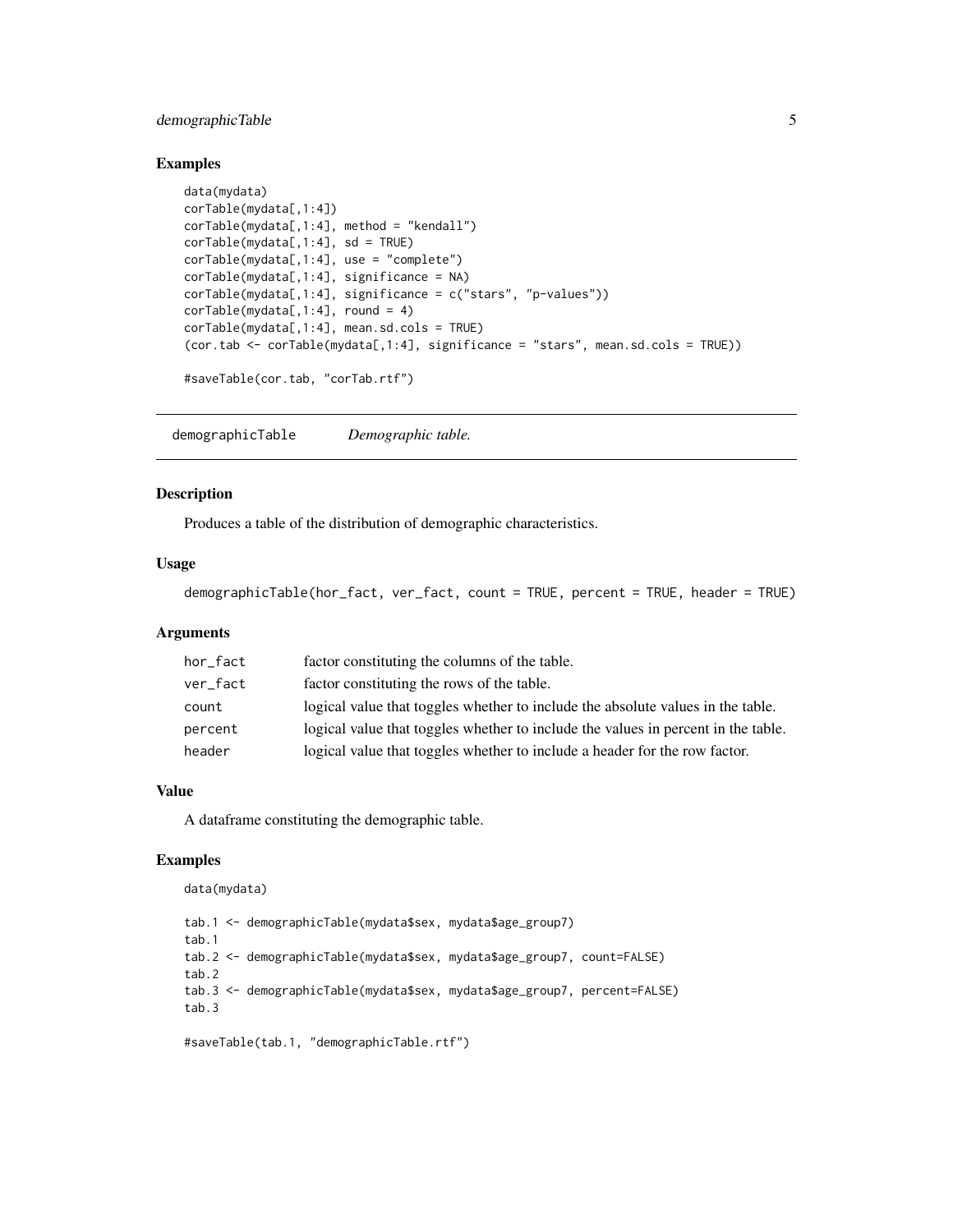# <span id="page-4-0"></span>demographicTable 5

#### Examples

```
data(mydata)
corTable(mydata[,1:4])
corTable(mydata[,1:4], method = "kendall")
corTable(mydata[, 1:4], sd = TRUEcorTable(mydata[,1:4], use = "complete")
corTable(mydata[,1:4], significance = NA)
corTable(mydata[,1:4], significance = c("stars", "p-values"))
corTable(mydata[, 1:4], round = 4)corTable(mydata[,1:4], mean.sd.cols = TRUE)
(cor.tab <- corTable(mydata[,1:4], significance = "stars", mean.sd.cols = TRUE))
#saveTable(cor.tab, "corTab.rtf")
```
demographicTable *Demographic table.*

#### Description

Produces a table of the distribution of demographic characteristics.

#### Usage

demographicTable(hor\_fact, ver\_fact, count = TRUE, percent = TRUE, header = TRUE)

#### Arguments

| hor_fact | factor constituting the columns of the table.                                     |
|----------|-----------------------------------------------------------------------------------|
| ver fact | factor constituting the rows of the table.                                        |
| count    | logical value that toggles whether to include the absolute values in the table.   |
| percent  | logical value that toggles whether to include the values in percent in the table. |
| header   | logical value that toggles whether to include a header for the row factor.        |

#### Value

A dataframe constituting the demographic table.

```
data(mydata)
```

```
tab.1 <- demographicTable(mydata$sex, mydata$age_group7)
tab.1
tab.2 <- demographicTable(mydata$sex, mydata$age_group7, count=FALSE)
tab.2
tab.3 <- demographicTable(mydata$sex, mydata$age_group7, percent=FALSE)
tab.3
#saveTable(tab.1, "demographicTable.rtf")
```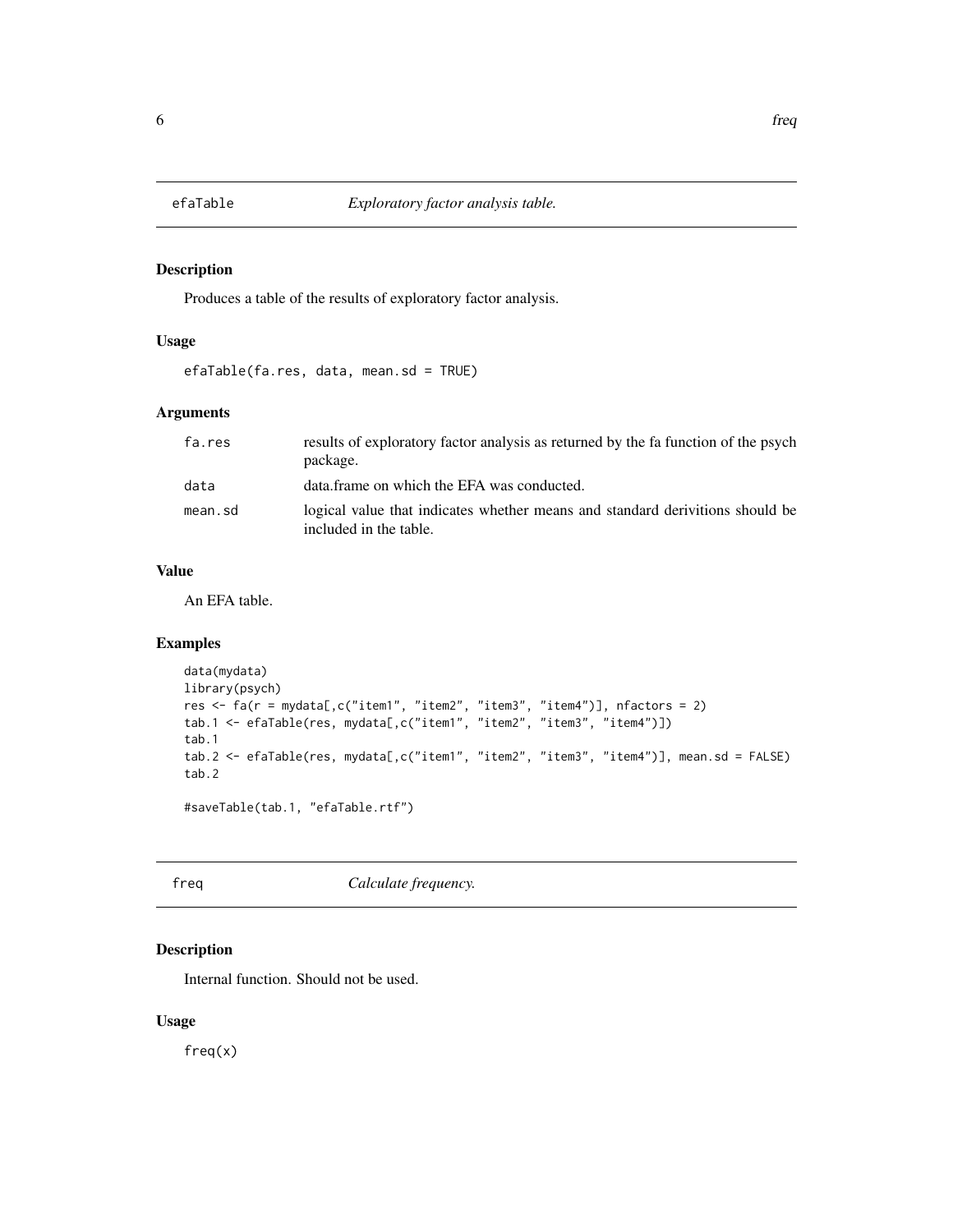<span id="page-5-0"></span>

#### Description

Produces a table of the results of exploratory factor analysis.

#### Usage

```
efaTable(fa.res, data, mean.sd = TRUE)
```
#### Arguments

| fa.res  | results of exploratory factor analysis as returned by the fa function of the psych<br>package.          |
|---------|---------------------------------------------------------------------------------------------------------|
| data    | data frame on which the EFA was conducted.                                                              |
| mean.sd | logical value that indicates whether means and standard derivitions should be<br>included in the table. |

#### Value

An EFA table.

#### Examples

```
data(mydata)
library(psych)
res <- fa(r = mydata[,c("item1", "item2", "item3", "item4")], nfactors = 2)
tab.1 <- efaTable(res, mydata[,c("item1", "item2", "item3", "item4")])
tab.1
tab.2 <- efaTable(res, mydata[,c("item1", "item2", "item3", "item4")], mean.sd = FALSE)
tab.2
#saveTable(tab.1, "efaTable.rtf")
```
freq *Calculate frequency.*

#### Description

Internal function. Should not be used.

#### Usage

freq(x)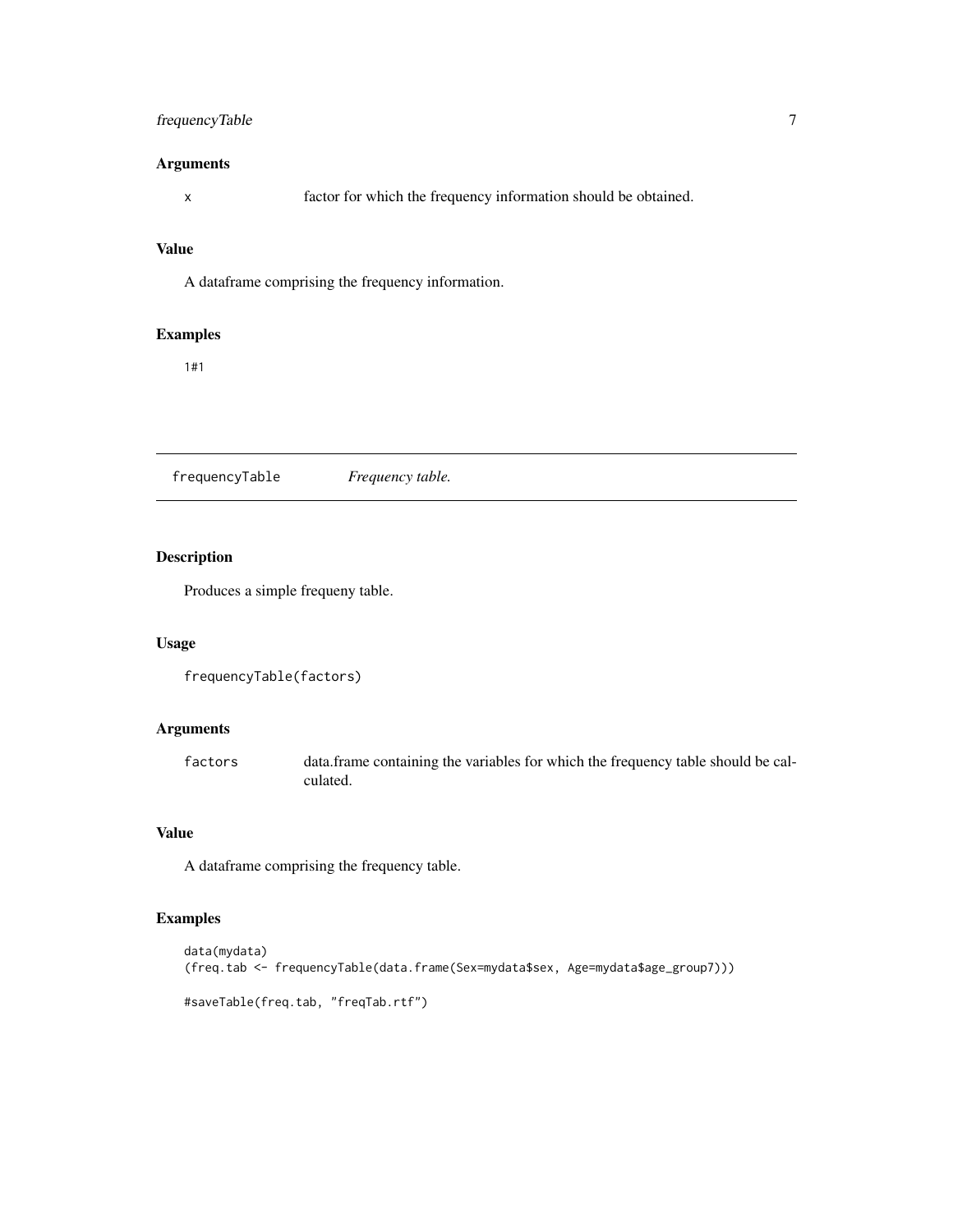# <span id="page-6-0"></span>frequencyTable 7

#### Arguments

x factor for which the frequency information should be obtained.

# Value

A dataframe comprising the frequency information.

#### Examples

1#1

frequencyTable *Frequency table.*

#### Description

Produces a simple frequeny table.

#### Usage

```
frequencyTable(factors)
```
#### Arguments

factors data.frame containing the variables for which the frequency table should be calculated.

#### Value

A dataframe comprising the frequency table.

```
data(mydata)
(freq.tab <- frequencyTable(data.frame(Sex=mydata$sex, Age=mydata$age_group7)))
#saveTable(freq.tab, "freqTab.rtf")
```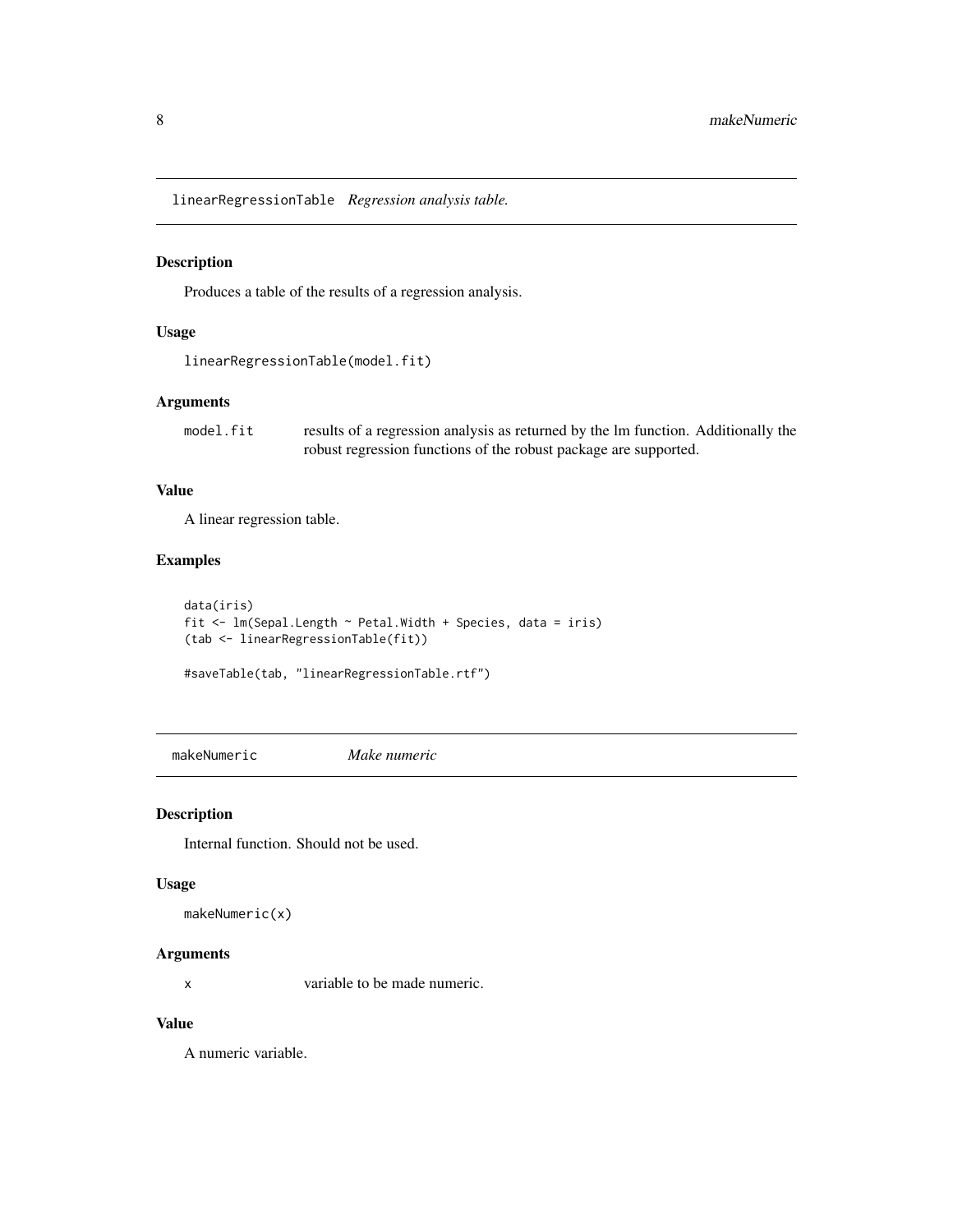<span id="page-7-0"></span>linearRegressionTable *Regression analysis table.*

#### Description

Produces a table of the results of a regression analysis.

#### Usage

```
linearRegressionTable(model.fit)
```
#### Arguments

| model.fit | results of a regression analysis as returned by the lm function. Additionally the |
|-----------|-----------------------------------------------------------------------------------|
|           | robust regression functions of the robust package are supported.                  |

#### Value

A linear regression table.

#### Examples

```
data(iris)
fit <- lm(Sepal.Length ~ Petal.Width + Species, data = iris)
(tab <- linearRegressionTable(fit))
```

```
#saveTable(tab, "linearRegressionTable.rtf")
```
makeNumeric *Make numeric*

#### Description

Internal function. Should not be used.

#### Usage

makeNumeric(x)

#### Arguments

x variable to be made numeric.

#### Value

A numeric variable.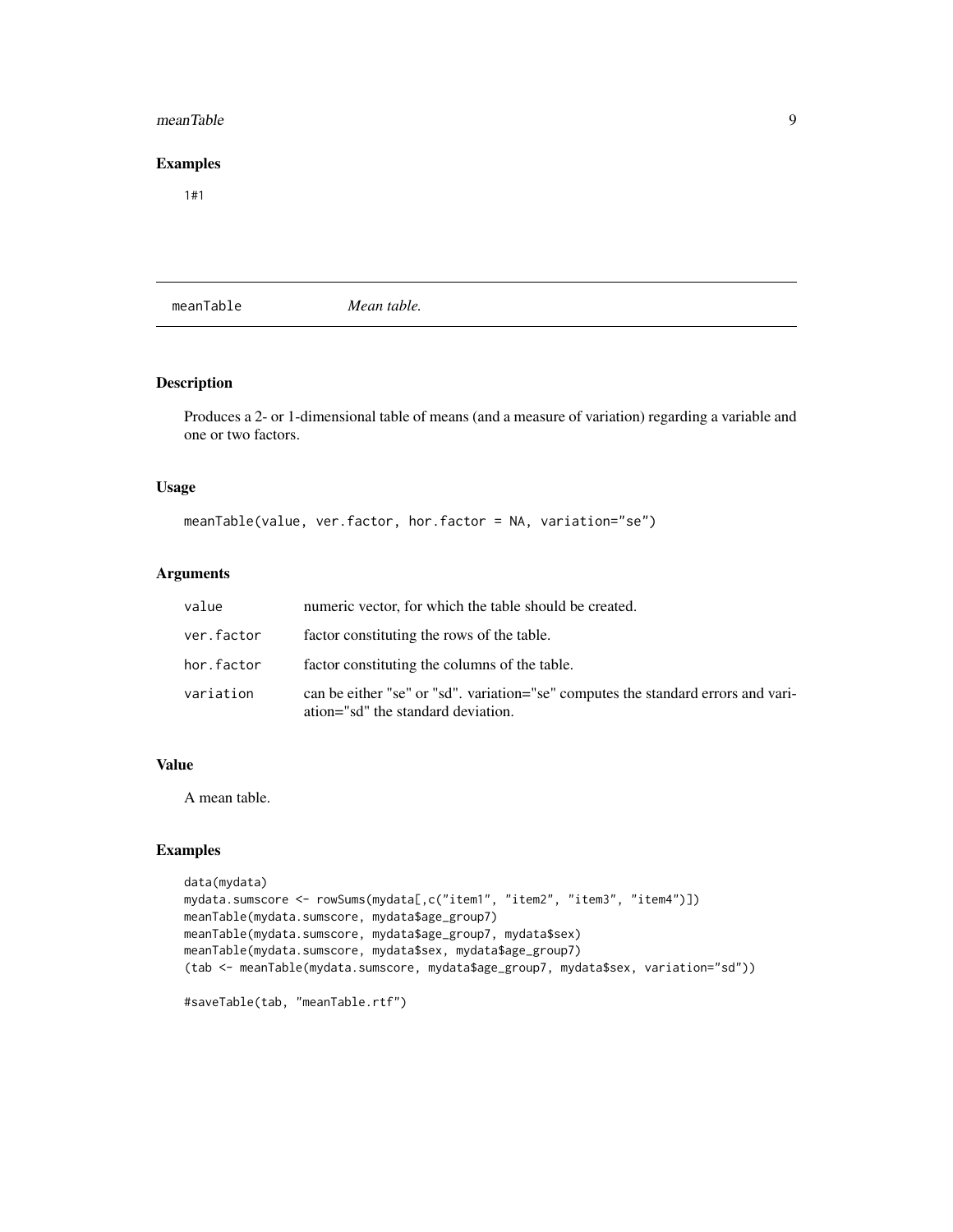#### <span id="page-8-0"></span>meanTable 9

#### Examples

1#1

meanTable *Mean table.*

#### Description

Produces a 2- or 1-dimensional table of means (and a measure of variation) regarding a variable and one or two factors.

#### Usage

```
meanTable(value, ver.factor, hor.factor = NA, variation="se")
```
#### Arguments

| value      | numeric vector, for which the table should be created.                                                                  |
|------------|-------------------------------------------------------------------------------------------------------------------------|
| ver.factor | factor constituting the rows of the table.                                                                              |
| hor.factor | factor constituting the columns of the table.                                                                           |
| variation  | can be either "se" or "sd", variation="se" computes the standard errors and vari-<br>ation="sd" the standard deviation. |

#### Value

A mean table.

#### Examples

```
data(mydata)
mydata.sumscore <- rowSums(mydata[,c("item1", "item2", "item3", "item4")])
meanTable(mydata.sumscore, mydata$age_group7)
meanTable(mydata.sumscore, mydata$age_group7, mydata$sex)
meanTable(mydata.sumscore, mydata$sex, mydata$age_group7)
(tab <- meanTable(mydata.sumscore, mydata$age_group7, mydata$sex, variation="sd"))
```
#saveTable(tab, "meanTable.rtf")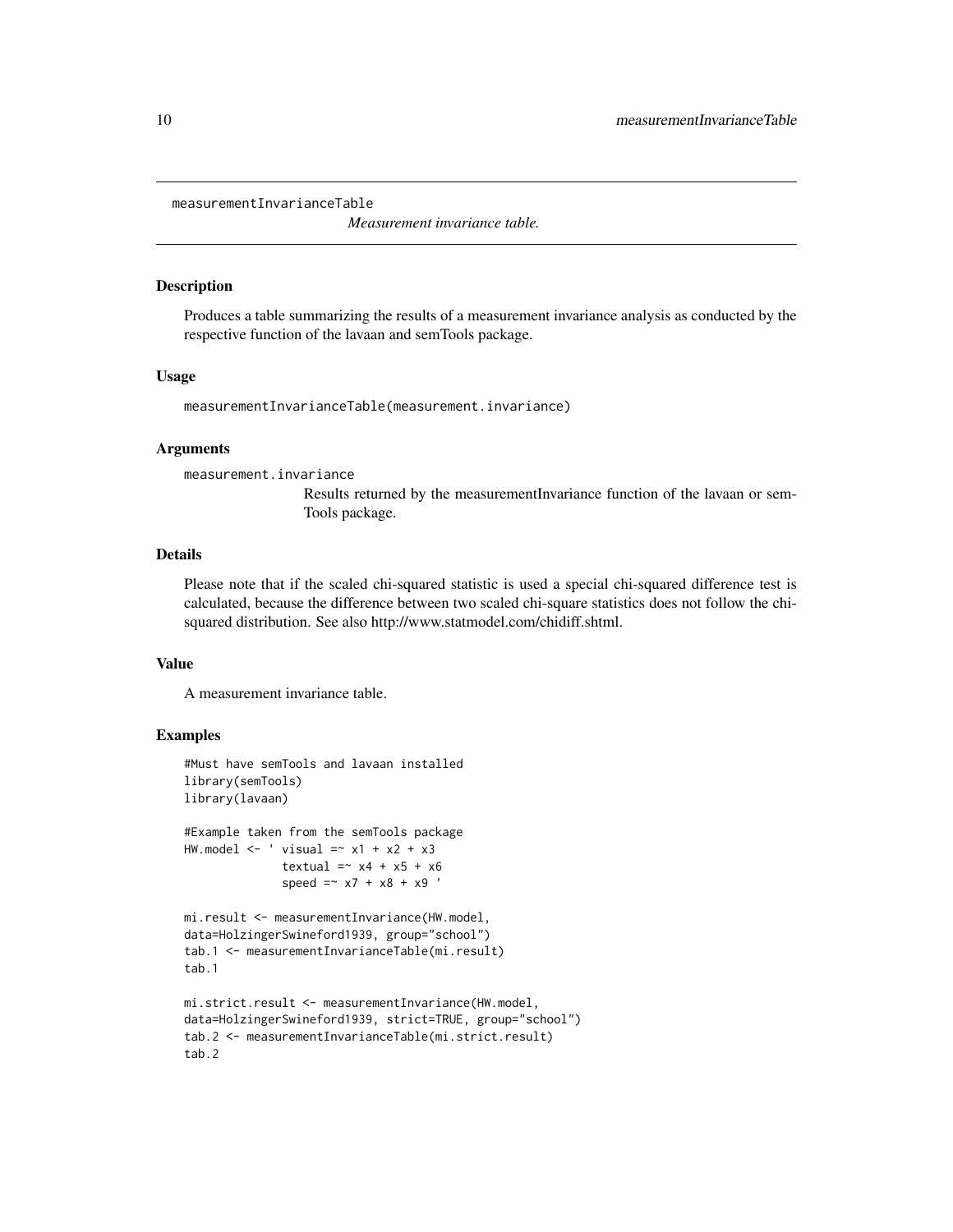<span id="page-9-0"></span>measurementInvarianceTable

*Measurement invariance table.*

#### Description

Produces a table summarizing the results of a measurement invariance analysis as conducted by the respective function of the lavaan and semTools package.

#### Usage

measurementInvarianceTable(measurement.invariance)

#### Arguments

measurement.invariance

Results returned by the measurementInvariance function of the lavaan or sem-Tools package.

#### Details

Please note that if the scaled chi-squared statistic is used a special chi-squared difference test is calculated, because the difference between two scaled chi-square statistics does not follow the chisquared distribution. See also http://www.statmodel.com/chidiff.shtml.

#### Value

A measurement invariance table.

```
#Must have semTools and lavaan installed
library(semTools)
library(lavaan)
#Example taken from the semTools package
HW.model \leq ' visual =\sim x1 + x2 + x3
             textual =~x4 + x5 + x6speed =~x7 + x8 + x9mi.result <- measurementInvariance(HW.model,
data=HolzingerSwineford1939, group="school")
tab.1 <- measurementInvarianceTable(mi.result)
tab.1
mi.strict.result <- measurementInvariance(HW.model,
data=HolzingerSwineford1939, strict=TRUE, group="school")
tab.2 <- measurementInvarianceTable(mi.strict.result)
tab.2
```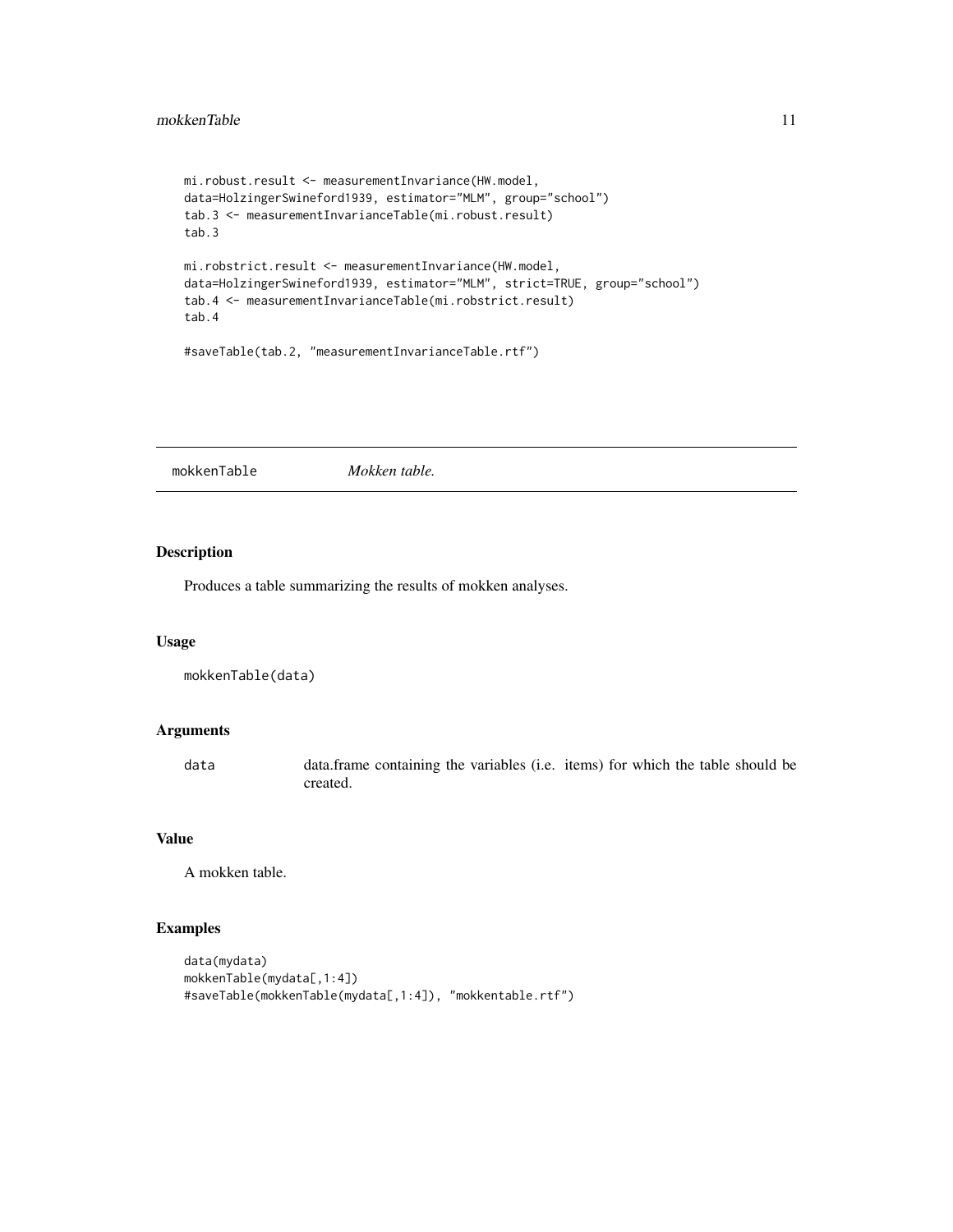#### <span id="page-10-0"></span>mokkenTable 11

```
mi.robust.result <- measurementInvariance(HW.model,
data=HolzingerSwineford1939, estimator="MLM", group="school")
tab.3 <- measurementInvarianceTable(mi.robust.result)
tab.3
mi.robstrict.result <- measurementInvariance(HW.model,
data=HolzingerSwineford1939, estimator="MLM", strict=TRUE, group="school")
tab.4 <- measurementInvarianceTable(mi.robstrict.result)
tab.4
#saveTable(tab.2, "measurementInvarianceTable.rtf")
```
mokkenTable *Mokken table.*

#### Description

Produces a table summarizing the results of mokken analyses.

#### Usage

```
mokkenTable(data)
```
#### Arguments

data data.frame containing the variables (i.e. items) for which the table should be created.

#### Value

A mokken table.

```
data(mydata)
mokkenTable(mydata[,1:4])
#saveTable(mokkenTable(mydata[,1:4]), "mokkentable.rtf")
```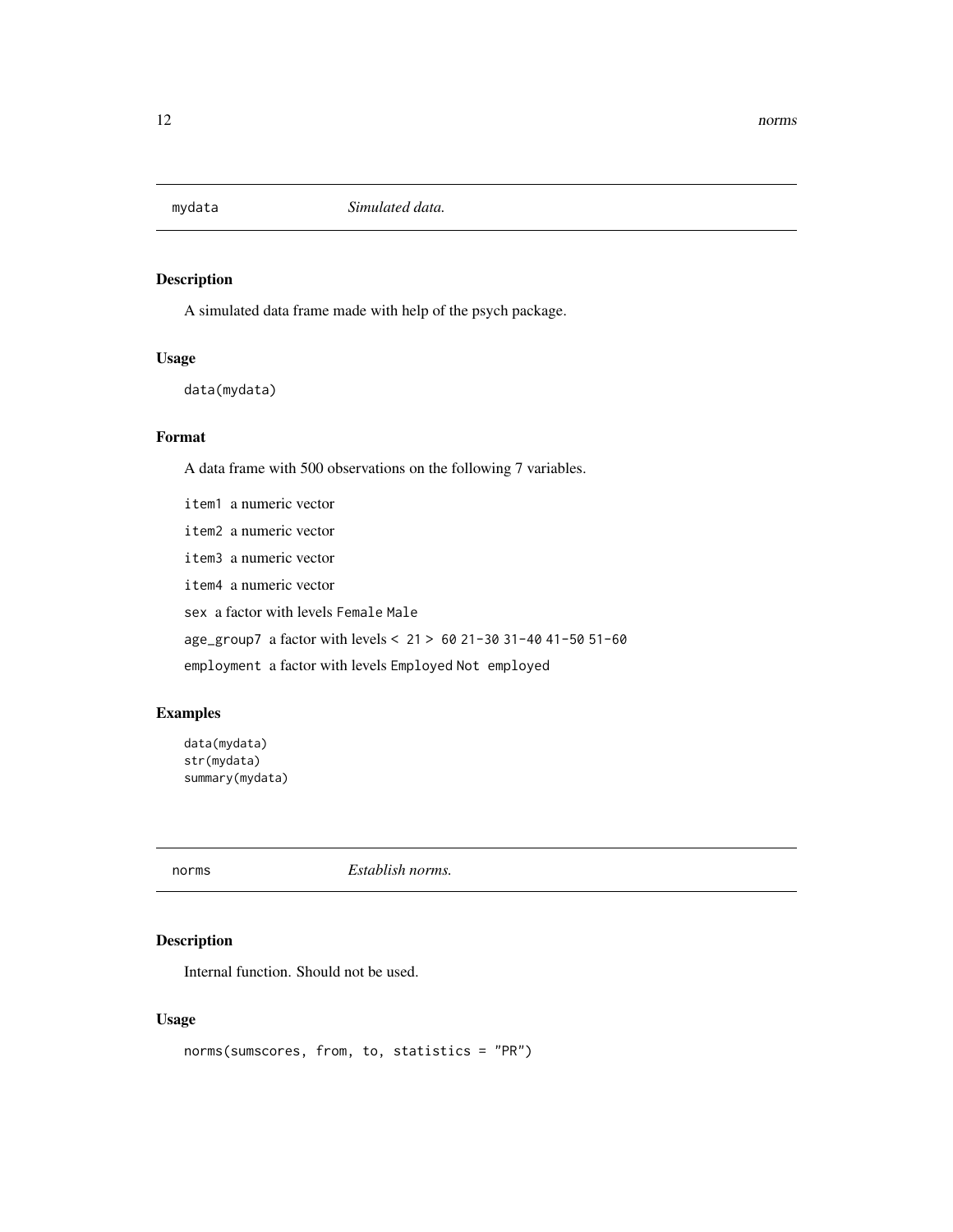<span id="page-11-0"></span>

#### Description

A simulated data frame made with help of the psych package.

#### Usage

data(mydata)

#### Format

A data frame with 500 observations on the following 7 variables.

item1 a numeric vector item2 a numeric vector item3 a numeric vector item4 a numeric vector sex a factor with levels Female Male age\_group7 a factor with levels < 21 > 60 21-30 31-40 41-50 51-60 employment a factor with levels Employed Not employed

#### Examples

```
data(mydata)
str(mydata)
summary(mydata)
```
norms *Establish norms.*

# Description

Internal function. Should not be used.

#### Usage

```
norms(sumscores, from, to, statistics = "PR")
```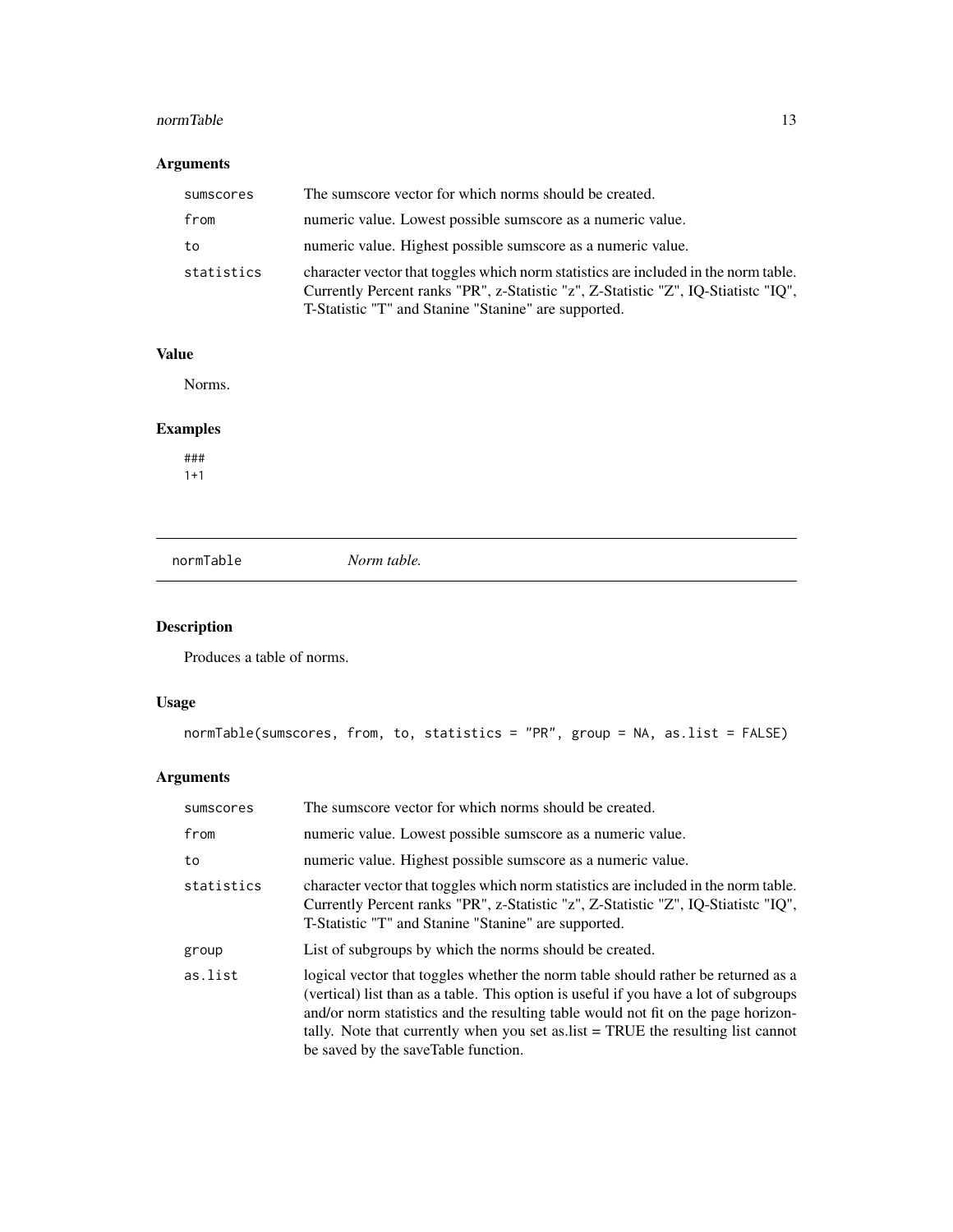#### <span id="page-12-0"></span>normTable 13

#### Arguments

| sumscores  | The sumscore vector for which norms should be created.                                                                                                                                                                            |
|------------|-----------------------------------------------------------------------------------------------------------------------------------------------------------------------------------------------------------------------------------|
| from       | numeric value. Lowest possible sumscore as a numeric value.                                                                                                                                                                       |
| to         | numeric value. Highest possible sumscore as a numeric value.                                                                                                                                                                      |
| statistics | character vector that toggles which norm statistics are included in the norm table.<br>Currently Percent ranks "PR", z-Statistic "z", Z-Statistic "Z", IQ-Stiatistc "IQ",<br>T-Statistic "T" and Stanine "Stanine" are supported. |

#### Value

Norms.

# Examples

### 1+1

| normTable |  |
|-----------|--|
|           |  |

 $Norm$  table.

# Description

Produces a table of norms.

# Usage

```
normTable(sumscores, from, to, statistics = "PR", group = NA, as.list = FALSE)
```
# Arguments

| sumscores  | The sumscore vector for which norms should be created.                                                                                                                                                                                                                                                                                                                                     |
|------------|--------------------------------------------------------------------------------------------------------------------------------------------------------------------------------------------------------------------------------------------------------------------------------------------------------------------------------------------------------------------------------------------|
| from       | numeric value. Lowest possible sumscore as a numeric value.                                                                                                                                                                                                                                                                                                                                |
| to         | numeric value. Highest possible sumscore as a numeric value.                                                                                                                                                                                                                                                                                                                               |
| statistics | character vector that toggles which norm statistics are included in the norm table.<br>Currently Percent ranks "PR", z-Statistic "z", Z-Statistic "Z", IQ-Stiatistc "IQ",<br>T-Statistic "T" and Stanine "Stanine" are supported.                                                                                                                                                          |
| group      | List of subgroups by which the norms should be created.                                                                                                                                                                                                                                                                                                                                    |
| as.list    | logical vector that toggles whether the norm table should rather be returned as a<br>(vertical) list than as a table. This option is useful if you have a lot of subgroups<br>and/or norm statistics and the resulting table would not fit on the page horizon-<br>tally. Note that currently when you set as list = TRUE the resulting list cannot<br>be saved by the saveTable function. |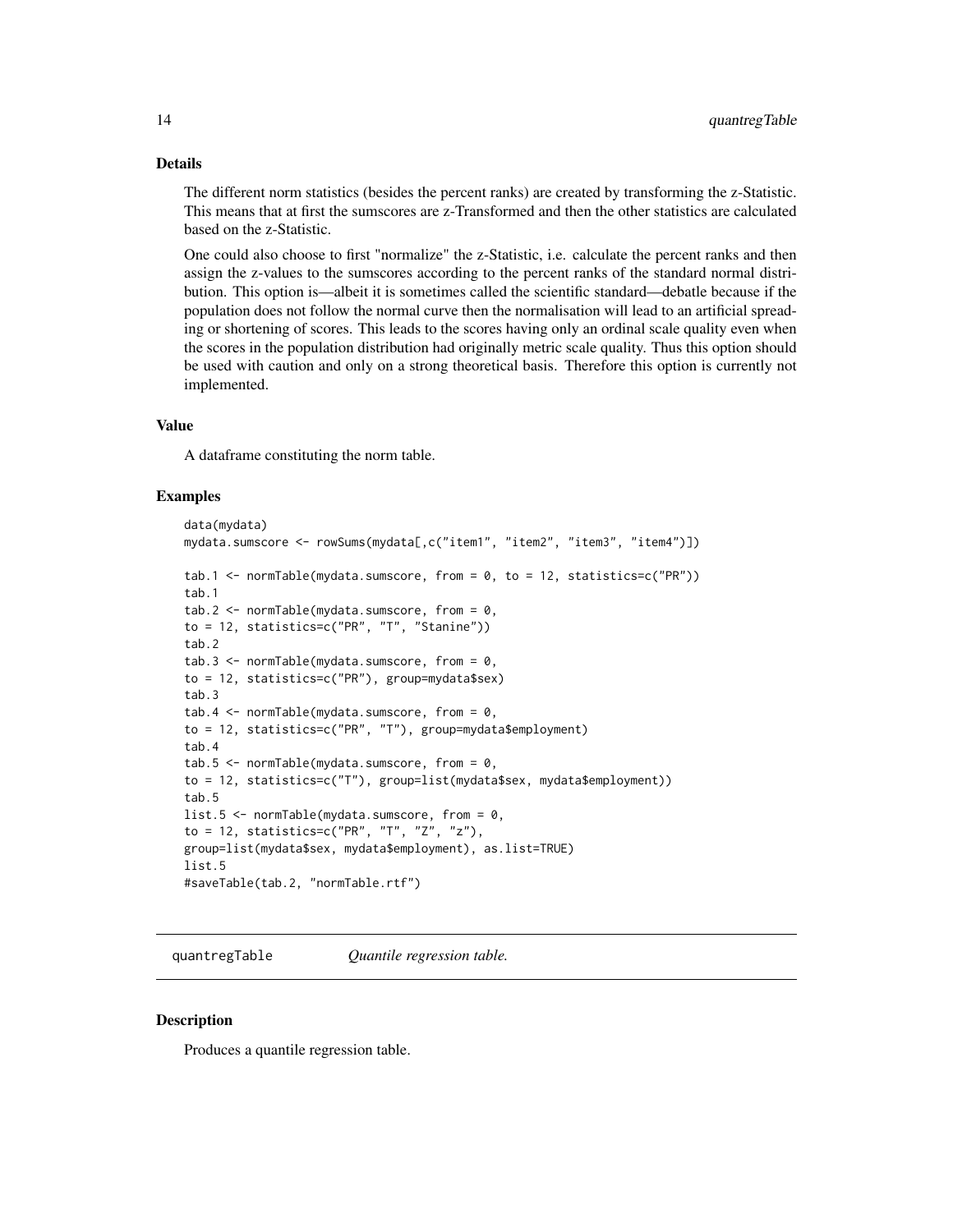#### <span id="page-13-0"></span>Details

The different norm statistics (besides the percent ranks) are created by transforming the z-Statistic. This means that at first the sumscores are z-Transformed and then the other statistics are calculated based on the z-Statistic.

One could also choose to first "normalize" the z-Statistic, i.e. calculate the percent ranks and then assign the z-values to the sumscores according to the percent ranks of the standard normal distribution. This option is—albeit it is sometimes called the scientific standard—debatle because if the population does not follow the normal curve then the normalisation will lead to an artificial spreading or shortening of scores. This leads to the scores having only an ordinal scale quality even when the scores in the population distribution had originally metric scale quality. Thus this option should be used with caution and only on a strong theoretical basis. Therefore this option is currently not implemented.

#### Value

A dataframe constituting the norm table.

#### Examples

```
data(mydata)
mydata.sumscore <- rowSums(mydata[,c("item1", "item2", "item3", "item4")])
tab.1 \leq normTable(mydata.sumscore, from = 0, to = 12, statistics=c("PR"))
tab.1
tab.2 \leq normTable(mydata.sumscore, from = 0,
to = 12, statistics=c("PR", "T", "Stanine"))
tab.2
tab.3 \leq normTable(mydata.sumscore, from = 0,
to = 12, statistics=c("PR"), group=mydata$sex)
tab.3
tab.4 \leq normTable(mydata.sumscore, from = 0,
to = 12, statistics=c("PR", "T"), group=mydata$employment)
tab.4
tab.5 \leq - normTable(mydata.sumscore, from = 0,
to = 12, statistics=c("T"), group=list(mydata$sex, mydata$employment))
tab.5
list.5 <- normTable(mydata.sumscore, from = 0,
to = 12, statistics=c("PR", "T", "Z", "z"),
group=list(mydata$sex, mydata$employment), as.list=TRUE)
list.5
#saveTable(tab.2, "normTable.rtf")
```
quantregTable *Quantile regression table.*

#### Description

Produces a quantile regression table.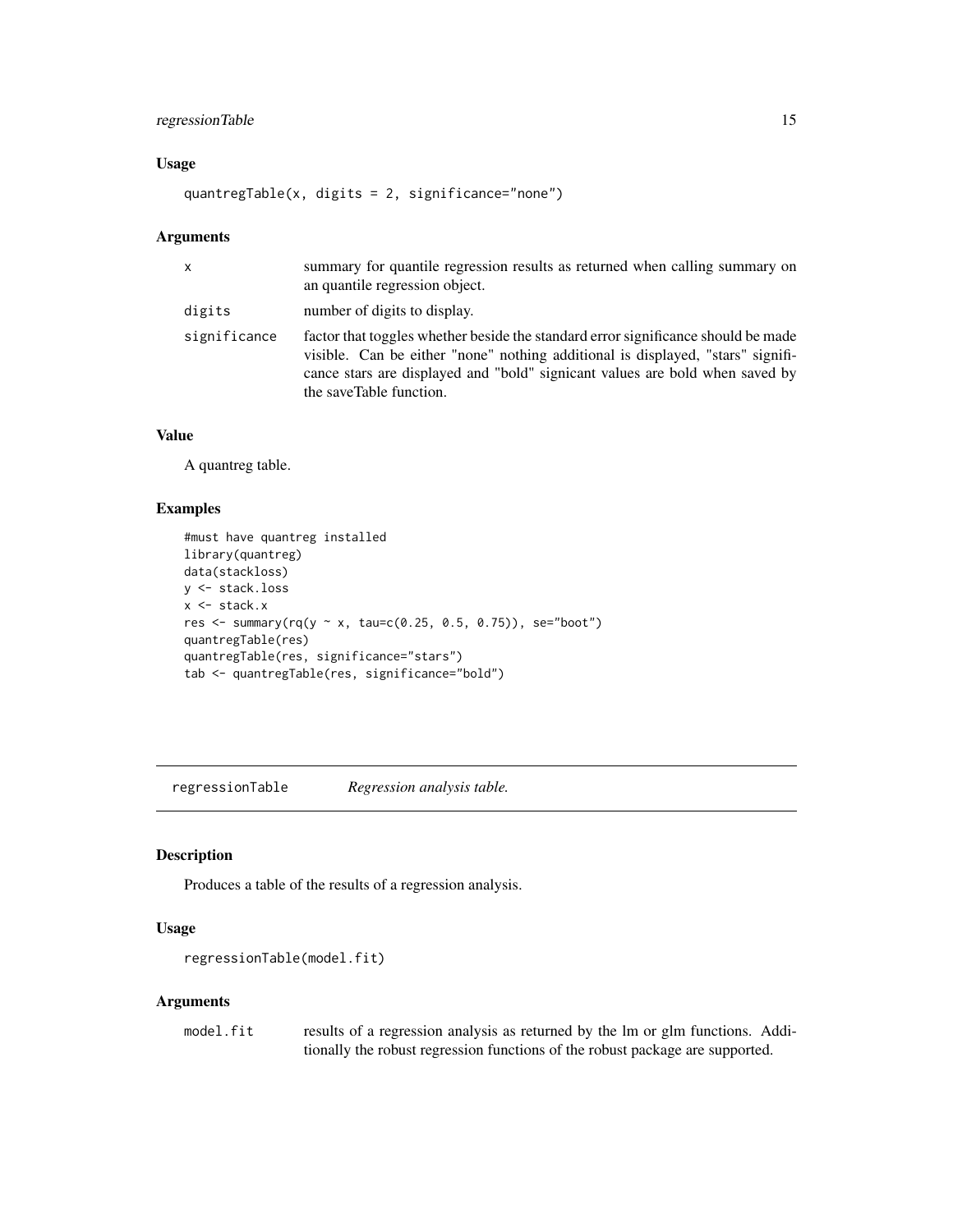#### <span id="page-14-0"></span>regressionTable 15

#### Usage

quantregTable(x, digits = 2, significance="none")

#### Arguments

| X            | summary for quantile regression results as returned when calling summary on<br>an quantile regression object.                                                                                                                                                                   |
|--------------|---------------------------------------------------------------------------------------------------------------------------------------------------------------------------------------------------------------------------------------------------------------------------------|
| digits       | number of digits to display.                                                                                                                                                                                                                                                    |
| significance | factor that toggles whether beside the standard error significance should be made<br>visible. Can be either "none" nothing additional is displayed, "stars" signifi-<br>cance stars are displayed and "bold" signicant values are bold when saved by<br>the saveTable function. |

#### Value

A quantreg table.

#### Examples

```
#must have quantreg installed
library(quantreg)
data(stackloss)
y <- stack.loss
x <- stack.x
res <- summary(rq(y ~ x, tau=c(0.25, 0.5, 0.75)), se="boot")
quantregTable(res)
quantregTable(res, significance="stars")
tab <- quantregTable(res, significance="bold")
```
regressionTable *Regression analysis table.*

#### Description

Produces a table of the results of a regression analysis.

#### Usage

```
regressionTable(model.fit)
```
#### Arguments

| model.fit | results of a regression analysis as returned by the lm or glm functions. Addi- |
|-----------|--------------------------------------------------------------------------------|
|           | tionally the robust regression functions of the robust package are supported.  |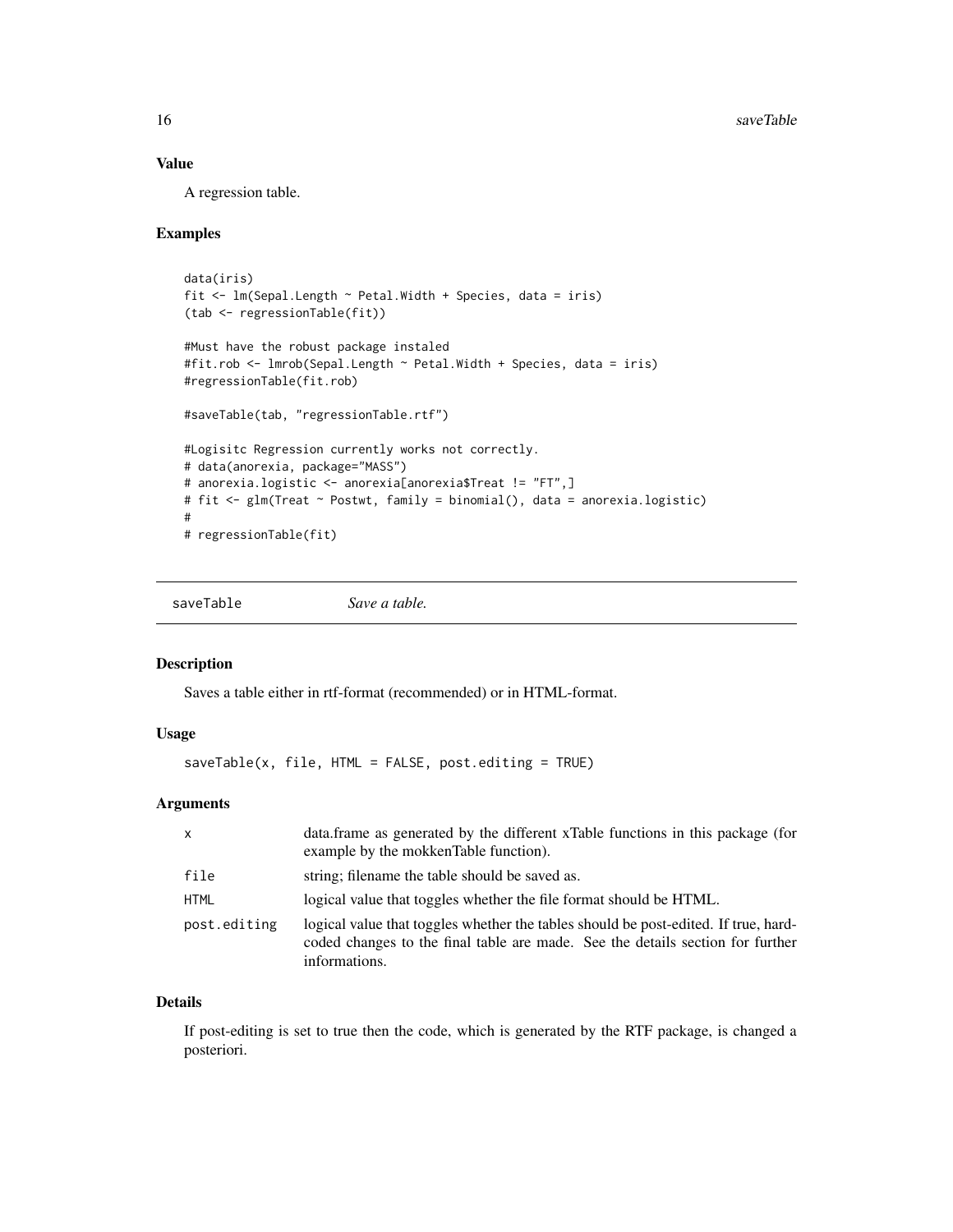#### Value

A regression table.

#### Examples

```
data(iris)
fit \leq lm(Sepal.Length \sim Petal.Width + Species, data = iris)
(tab <- regressionTable(fit))
#Must have the robust package instaled
#fit.rob <- lmrob(Sepal.Length ~ Petal.Width + Species, data = iris)
#regressionTable(fit.rob)
#saveTable(tab, "regressionTable.rtf")
#Logisitc Regression currently works not correctly.
# data(anorexia, package="MASS")
# anorexia.logistic <- anorexia[anorexia$Treat != "FT",]
# fit <- glm(Treat ~ Postwt, family = binomial(), data = anorexia.logistic)
#
# regressionTable(fit)
```
saveTable *Save a table.*

#### Description

Saves a table either in rtf-format (recommended) or in HTML-format.

#### Usage

saveTable(x, file, HTML = FALSE, post.editing = TRUE)

#### Arguments

| $\mathsf{x}$ | data.frame as generated by the different xTable functions in this package (for<br>example by the mokken Table function).                                                               |
|--------------|----------------------------------------------------------------------------------------------------------------------------------------------------------------------------------------|
| file         | string; filename the table should be saved as.                                                                                                                                         |
| <b>HTML</b>  | logical value that toggles whether the file format should be HTML.                                                                                                                     |
| post.editing | logical value that toggles whether the tables should be post-edited. If true, hard-<br>coded changes to the final table are made. See the details section for further<br>informations. |

#### Details

If post-editing is set to true then the code, which is generated by the RTF package, is changed a posteriori.

<span id="page-15-0"></span>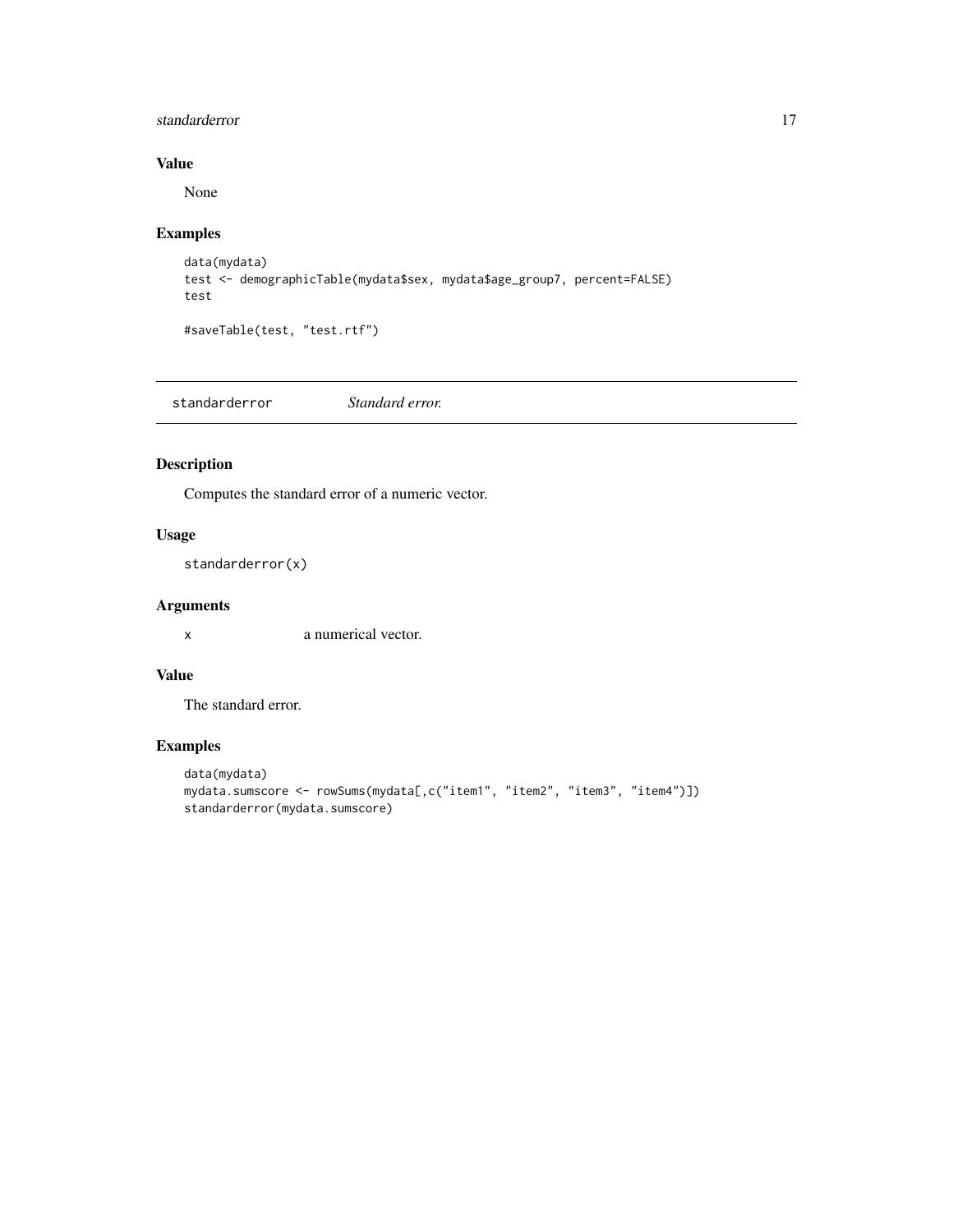#### <span id="page-16-0"></span>standarderror 17

#### Value

None

#### Examples

```
data(mydata)
test <- demographicTable(mydata$sex, mydata$age_group7, percent=FALSE)
test
```
#saveTable(test, "test.rtf")

standarderror *Standard error.*

#### Description

Computes the standard error of a numeric vector.

#### Usage

standarderror(x)

#### Arguments

x a numerical vector.

#### Value

The standard error.

```
data(mydata)
mydata.sumscore <- rowSums(mydata[,c("item1", "item2", "item3", "item4")])
standarderror(mydata.sumscore)
```